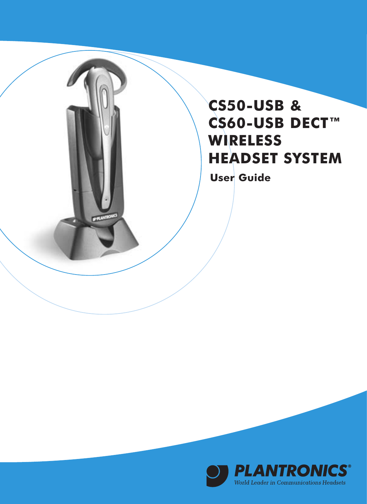## **CS50-USB & CS60-USB DECT™ WIRELESS HEADSET SYSTEM**

**User Guide**

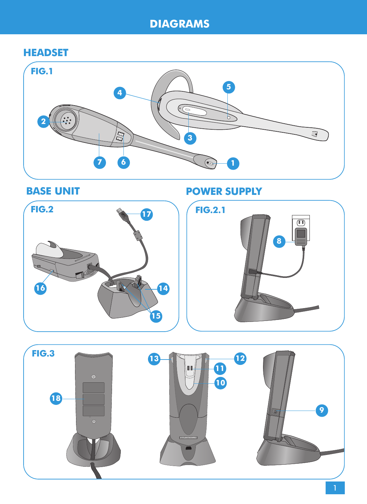## **HEADSET**





**BASE UNIT POWER SUPPLY** 



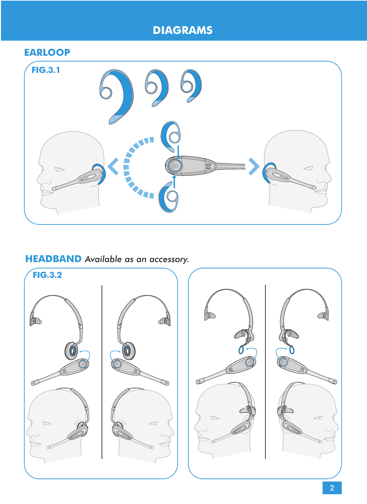## **EARLOOP**



## **HEADBAND** *Available as an accessory.*

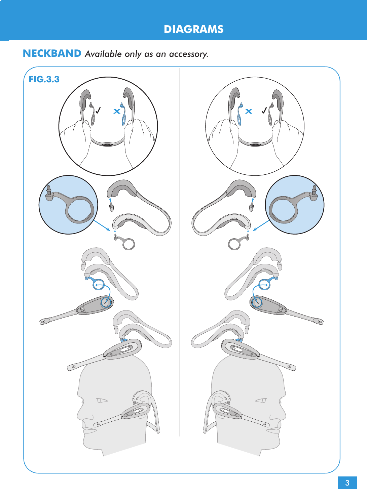## **NECKBAND** *Available only as an accessory.*



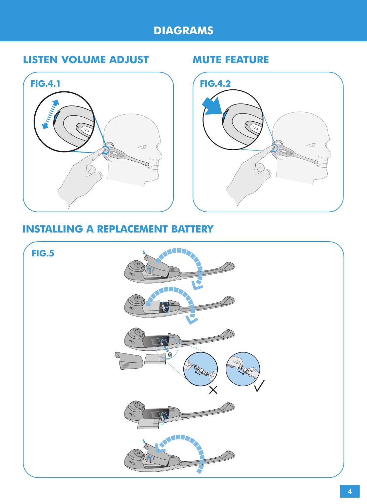## **LISTEN VOLUME ADJUST MUTE FEATURE**





## **INSTALLING A REPLACEMENT BATTERY**

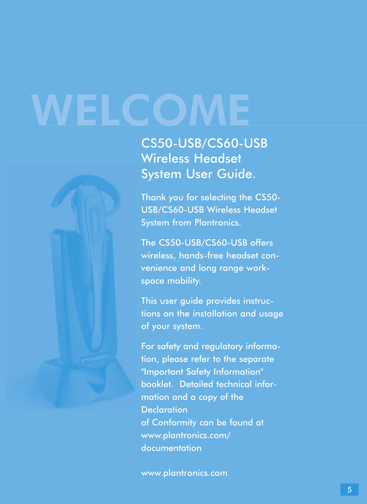# **WELCOME**



CS50-USB/CS60-USB Wireless Headset System User Guide.

Thank you for selecting the CS50- USB/CS60-USB Wireless Headset System from Plantronics.

The CS50-USB/CS60-USB offers wireless, hands-free headset convenience and long range workspace mobility.

This user guide provides instructions on the installation and usage of your system.

For safety and regulatory information, please refer to the separate "Important Safety Information" booklet. Detailed technical information and a copy of the **Declaration** of Conformity can be found at www.plantronics.com/ documentation

www.plantronics.com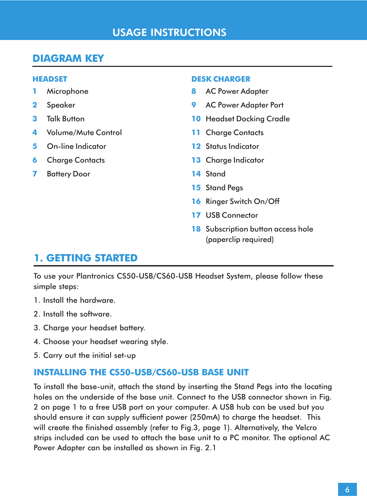## **USAGE INSTRUCTIONS**

## **DIAGRAM KEY**

#### **HEADSET**

- **1** Microphone
- **2** Speaker
- **3** Talk Button
- **4** Volume/Mute Control
- **5** On-line Indicator
- **6** Charge Contacts
- **7** Battery Door

#### **DESK CHARGER**

- **8** AC Power Adapter
- **9** AC Power Adapter Port
- **10** Headset Docking Cradle
- **11** Charge Contacts
- **12** Status Indicator
- **13** Charge Indicator
- **14** Stand
- **15** Stand Pegs
- **16** Ringer Switch On/Off
- **17** USB Connector
- **18** Subscription button access hole (paperclip required)

### **1. GETTING STARTED**

To use your Plantronics CS50-USB/CS60-USB Headset System, please follow these simple steps:

- 1. Install the hardware.
- 2. Install the software.
- 3. Charge your headset battery.
- 4. Choose your headset wearing style.
- 5. Carry out the initial set-up

#### **INSTALLING THE CS50-USB/CS60-USB BASE UNIT**

To install the base-unit, attach the stand by inserting the Stand Pegs into the locating holes on the underside of the base unit. Connect to the USB connector shown in Fig. 2 on page 1 to a free USB port on your computer. A USB hub can be used but you should ensure it can supply sufficient power (250mA) to charge the headset. This will create the finished assembly (refer to Fig.3, page 1). Alternatively, the Velcro strips included can be used to attach the base unit to a PC monitor. The optional AC Power Adapter can be installed as shown in Fig. 2.1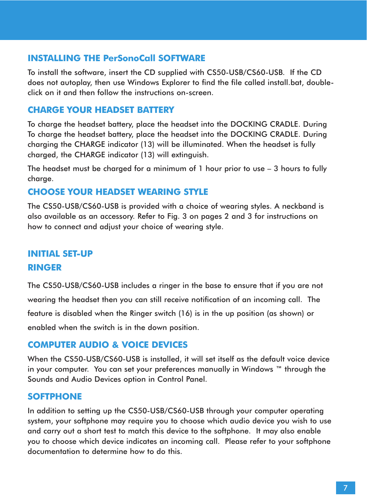#### **INSTALLING THE PerSonoCall SOFTWARE**

To install the software, insert the CD supplied with CS50-USB/CS60-USB. If the CD does not autoplay, then use Windows Explorer to find the file called install.bat, doubleclick on it and then follow the instructions on-screen.

#### **CHARGE YOUR HEADSET BATTERY**

To charge the headset battery, place the headset into the DOCKING CRADLE. During To charge the headset battery, place the headset into the DOCKING CRADLE. During charging the CHARGE indicator (13) will be illuminated. When the headset is fully charged, the CHARGE indicator (13) will extinguish.

The headset must be charged for a minimum of  $1$  hour prior to use  $-3$  hours to fully charge.

#### **CHOOSE YOUR HEADSET WEARING STYLE**

The CS50-USB/CS60-USB is provided with a choice of wearing styles. A neckband is also available as an accessory. Refer to Fig. 3 on pages 2 and 3 for instructions on how to connect and adjust your choice of wearing style.

## **INITIAL SET-UP RINGER**

The CS50-USB/CS60-USB includes a ringer in the base to ensure that if you are not wearing the headset then you can still receive notification of an incoming call. The feature is disabled when the Ringer switch (16) is in the up position (as shown) or enabled when the switch is in the down position.

#### **COMPUTER AUDIO & VOICE DEVICES**

When the CS50-USB/CS60-USB is installed, it will set itself as the default voice device in your computer. You can set your preferences manually in Windows ™ through the Sounds and Audio Devices option in Control Panel.

#### **SOFTPHONE**

In addition to setting up the CS50-USB/CS60-USB through your computer operating system, your softphone may require you to choose which audio device you wish to use and carry out a short test to match this device to the softphone. It may also enable you to choose which device indicates an incoming call. Please refer to your softphone documentation to determine how to do this.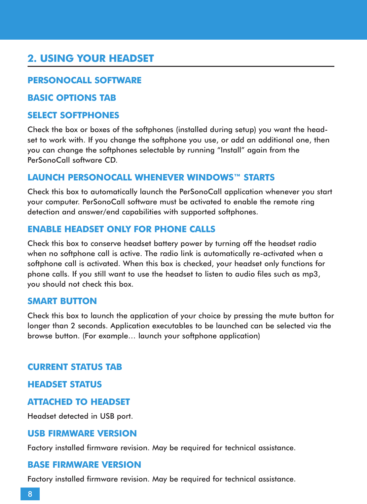## **2. USING YOUR HEADSET**

#### **PERSONOCALL SOFTWARE**

#### **BASIC OPTIONS TAB**

#### **SELECT SOFTPHONES**

Check the box or boxes of the softphones (installed during setup) you want the headset to work with. If you change the softphone you use, or add an additional one, then you can change the softphones selectable by running "Install" again from the PerSonoCall software CD.

#### **LAUNCH PERSONOCALL WHENEVER WINDOWS™ STARTS**

Check this box to automatically launch the PerSonoCall application whenever you start your computer. PerSonoCall software must be activated to enable the remote ring detection and answer/end capabilities with supported softphones.

#### **ENABLE HEADSET ONLY FOR PHONE CALLS**

Check this box to conserve headset battery power by turning off the headset radio when no softphone call is active. The radio link is automatically re-activated when a softphone call is activated. When this box is checked, your headset only functions for phone calls. If you still want to use the headset to listen to audio files such as mp3, you should not check this box.

#### **SMART BUTTON**

Check this box to launch the application of your choice by pressing the mute button for longer than 2 seconds. Application executables to be launched can be selected via the browse button. (For example… launch your softphone application)

#### **CURRENT STATUS TAB**

#### **HEADSET STATUS**

#### **ATTACHED TO HEADSET**

Headset detected in USB port.

#### **USB FIRMWARE VERSION**

Factory installed firmware revision. May be required for technical assistance.

#### **BASE FIRMWARE VERSION**

Factory installed firmware revision. May be required for technical assistance.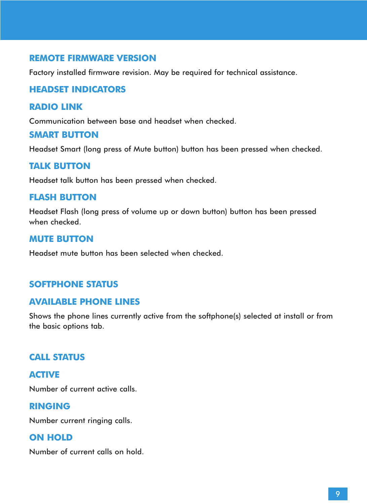#### **REMOTE FIRMWARE VERSION**

Factory installed firmware revision. May be required for technical assistance.

#### **HEADSET INDICATORS**

#### **RADIO LINK**

Communication between base and headset when checked.

#### **SMART BUTTON**

Headset Smart (long press of Mute button) button has been pressed when checked.

#### **TALK BUTTON**

Headset talk button has been pressed when checked.

#### **FLASH BUTTON**

Headset Flash (long press of volume up or down button) button has been pressed when checked.

#### **MUTE BUTTON**

Headset mute button has been selected when checked.

#### **SOFTPHONE STATUS**

#### **AVAILABLE PHONE LINES**

Shows the phone lines currently active from the softphone(s) selected at install or from the basic options tab.

#### **CALL STATUS**

**ACTIVE** Number of current active calls.

#### **RINGING**

Number current ringing calls.

#### **ON HOLD**

Number of current calls on hold.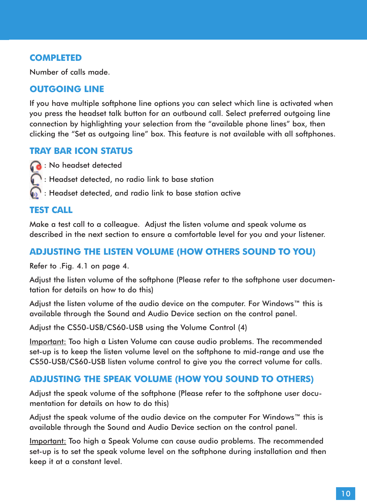#### **COMPLETED**

Number of calls made.

#### **OUTGOING LINE**

If you have multiple softphone line options you can select which line is activated when you press the headset talk button for an outbound call. Select preferred outgoing line connection by highlighting your selection from the "available phone lines" box, then clicking the "Set as outgoing line" box. This feature is not available with all softphones.

#### **TRAY BAR ICON STATUS**

**B**: No headset detected

- : Headset detected, no radio link to base station
	- : Headset detected, and radio link to base station active

#### **TEST CALL**

Make a test call to a colleague. Adjust the listen volume and speak volume as described in the next section to ensure a comfortable level for you and your listener.

#### **ADJUSTING THE LISTEN VOLUME (HOW OTHERS SOUND TO YOU)**

Refer to .Fig. 4.1 on page 4.

Adjust the listen volume of the softphone (Please refer to the softphone user documentation for details on how to do this)

Adjust the listen volume of the audio device on the computer. For Windows™ this is available through the Sound and Audio Device section on the control panel.

Adjust the CS50-USB/CS60-USB using the Volume Control (4)

Important: Too high a Listen Volume can cause audio problems. The recommended set-up is to keep the listen volume level on the softphone to mid-range and use the CS50-USB/CS60-USB listen volume control to give you the correct volume for calls.

#### **ADJUSTING THE SPEAK VOLUME (HOW YOU SOUND TO OTHERS)**

Adjust the speak volume of the softphone (Please refer to the softphone user documentation for details on how to do this)

Adjust the speak volume of the audio device on the computer For Windows™ this is available through the Sound and Audio Device section on the control panel.

Important: Too high a Speak Volume can cause audio problems. The recommended set-up is to set the speak volume level on the softphone during installation and then keep it at a constant level.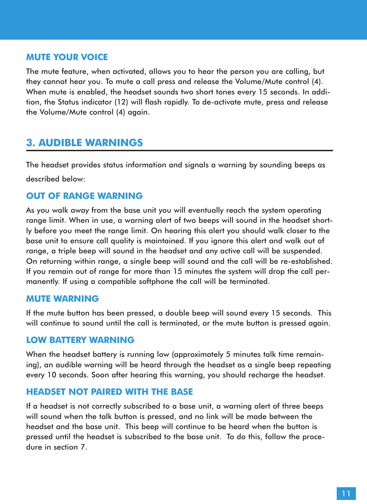#### **MUTE YOUR VOICE**

The mute feature, when activated, allows you to hear the person you are calling, but they cannot hear you. To mute a call press and release the Volume/Mute control (4). When mute is enabled, the headset sounds two short tones every 15 seconds. In addition, the Status indicator (12) will flash rapidly. To de-activate mute, press and release the Volume/Mute control (4) again.

#### **3. AUDIBLE WARNINGS**

The headset provides status information and signals a warning by sounding beeps as described below:

#### **OUT OF RANGE WARNING**

As you walk away from the base unit you will eventually reach the system operating range limit. When in use, a warning alert of two beeps will sound in the headset shortly before you meet the range limit. On hearing this alert you should walk closer to the base unit to ensure call quality is maintained. If you ignore this alert and walk out of range, a triple beep will sound in the headset and any active call will be suspended. On returning within range, a single beep will sound and the call will be re-established. If you remain out of range for more than 15 minutes the system will drop the call permanently. If using a compatible softphone the call will be terminated.

#### **MUTE WARNING**

If the mute button has been pressed, a double beep will sound every 15 seconds. This will continue to sound until the call is terminated, or the mute button is pressed again.

#### **LOW BATTERY WARNING**

When the headset battery is running low (approximately 5 minutes talk time remaining), an audible warning will be heard through the headset as a single beep repeating every 10 seconds. Soon after hearing this warning, you should recharge the headset.

#### **HEADSET NOT PAIRED WITH THE BASE**

If a headset is not correctly subscribed to a base unit, a warning alert of three beeps will sound when the talk button is pressed, and no link will be made between the headset and the base unit. This beep will continue to be heard when the button is pressed until the headset is subscribed to the base unit. To do this, follow the procedure in section 7.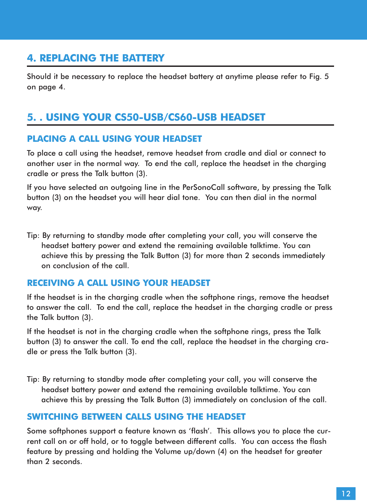## **4. REPLACING THE BATTERY**

Should it be necessary to replace the headset battery at anytime please refer to Fig. 5 on page 4.

## **5. . USING YOUR CS50-USB/CS60-USB HEADSET**

#### **PLACING A CALL USING YOUR HEADSET**

To place a call using the headset, remove headset from cradle and dial or connect to another user in the normal way. To end the call, replace the headset in the charging cradle or press the Talk button (3).

If you have selected an outgoing line in the PerSonoCall software, by pressing the Talk button (3) on the headset you will hear dial tone. You can then dial in the normal way.

Tip: By returning to standby mode after completing your call, you will conserve the headset battery power and extend the remaining available talktime. You can achieve this by pressing the Talk Button (3) for more than 2 seconds immediately on conclusion of the call.

#### **RECEIVING A CALL USING YOUR HEADSET**

If the headset is in the charging cradle when the softphone rings, remove the headset to answer the call. To end the call, replace the headset in the charging cradle or press the Talk button (3).

If the headset is not in the charging cradle when the softphone rings, press the Talk button (3) to answer the call. To end the call, replace the headset in the charging cradle or press the Talk button (3).

Tip: By returning to standby mode after completing your call, you will conserve the headset battery power and extend the remaining available talktime. You can achieve this by pressing the Talk Button (3) immediately on conclusion of the call.

#### **SWITCHING BETWEEN CALLS USING THE HEADSET**

Some softphones support a feature known as 'flash'. This allows you to place the current call on or off hold, or to togale between different calls. You can access the flash feature by pressing and holding the Volume up/down (4) on the headset for greater than 2 seconds.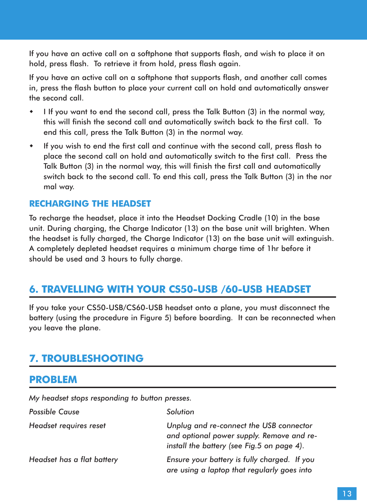If you have an active call on a softphone that supports flash, and wish to place it on hold, press flash. To retrieve it from hold, press flash again.

If you have an active call on a softphone that supports flash, and another call comes in, press the flash button to place your current call on hold and automatically answer the second call.

- \* I If you want to end the second call, press the Talk Button (3) in the normal way, this will finish the second call and automatically switch back to the first call. To end this call, press the Talk Button (3) in the normal way.
- If you wish to end the first call and continue with the second call, press flash to place the second call on hold and automatically switch to the first call. Press the Talk Button (3) in the normal way, this will finish the first call and automatically switch back to the second call. To end this call, press the Talk Button (3) in the nor mal way.

#### **RECHARGING THE HEADSET**

To recharge the headset, place it into the Headset Docking Cradle (10) in the base unit. During charging, the Charge Indicator (13) on the base unit will brighten. When the headset is fully charged, the Charge Indicator (13) on the base unit will extinguish. A completely depleted headset requires a minimum charge time of 1hr before it should be used and 3 hours to fully charge.

#### **6. TRAVELLING WITH YOUR CS50-USB /60-USB HEADSET**

If you take your CS50-USB/CS60-USB headset onto a plane, you must disconnect the battery (using the procedure in Figure 5) before boarding. It can be reconnected when you leave the plane.

#### **7. TROUBLESHOOTING**

#### **PROBLEM**

*My headset stops responding to button presses.*

| <b>Possible Cause</b>      | Solution                                                                                                                           |
|----------------------------|------------------------------------------------------------------------------------------------------------------------------------|
| Headset requires reset     | Unplug and re-connect the USB connector<br>and optional power supply. Remove and re-<br>install the battery (see Fig.5 on page 4). |
| Headset has a flat battery | Ensure your battery is fully charged. If you<br>are using a laptop that regularly goes into                                        |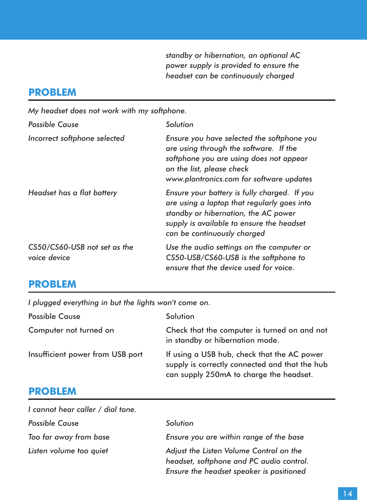*standby or hibernation, an optional AC power supply is provided to ensure the headset can be continuously charged*

## **PROBLEM**

*My headset does not work with my softphone.*

| <b>Possible Cause</b>                        | Solution                                                                                                                                                                                                        |
|----------------------------------------------|-----------------------------------------------------------------------------------------------------------------------------------------------------------------------------------------------------------------|
| Incorrect softphone selected                 | Ensure you have selected the softphone you<br>are using through the software. If the<br>softphone you are using does not appear<br>on the list, please check<br>www.plantronics.com for software updates        |
| Headset has a flat battery                   | Ensure your battery is fully charged. If you<br>are using a laptop that regularly goes into<br>standby or hibernation, the AC power<br>supply is available to ensure the headset<br>can be continuously charged |
| CS50/CS60-USB not set as the<br>voice device | Use the audio settings on the computer or<br>CS50-USB/CS60-USB is the softphone to<br>ensure that the device used for voice.                                                                                    |

## **PROBLEM**

*I plugged everything in but the lights won't come on.*

| <b>Possible Cause</b>            | Solution                                                                                                                                 |
|----------------------------------|------------------------------------------------------------------------------------------------------------------------------------------|
| Computer not turned on           | Check that the computer is turned on and not<br>in standby or hibernation mode.                                                          |
| Insufficient power from USB port | If using a USB hub, check that the AC power<br>supply is correctly connected and that the hub<br>can supply 250mA to charge the headset. |

## **PROBLEM**

| I cannot hear caller / dial tone. |                                                                                                                                 |
|-----------------------------------|---------------------------------------------------------------------------------------------------------------------------------|
| <b>Possible Cause</b>             | Solution                                                                                                                        |
| Too far away from base            | Ensure you are within range of the base                                                                                         |
| Listen volume too quiet           | Adjust the Listen Volume Control on the<br>headset, softphone and PC audio control.<br>Ensure the headset speaker is positioned |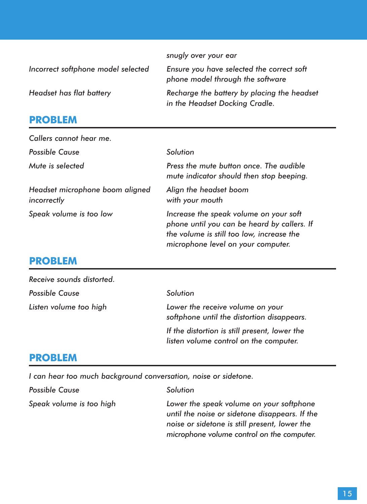|                                    | snugly over your ear                                                          |
|------------------------------------|-------------------------------------------------------------------------------|
| Incorrect softphone model selected | Ensure you have selected the correct soft<br>phone model through the software |
| Headset has flat battery           | Recharge the battery by placing the headset<br>in the Headset Docking Cradle. |

## **PROBLEM**

| Callers cannot hear me.                        |                                                                                                                                                                          |
|------------------------------------------------|--------------------------------------------------------------------------------------------------------------------------------------------------------------------------|
| <b>Possible Cause</b>                          | Solution                                                                                                                                                                 |
| Mute is selected                               | Press the mute button once. The audible<br>mute indicator should then stop beeping.                                                                                      |
| Headset microphone boom aligned<br>incorrectly | Align the headset boom<br>with your mouth                                                                                                                                |
| Speak volume is too low                        | Increase the speak volume on your soft<br>phone until you can be heard by callers. If<br>the volume is still too low, increase the<br>microphone level on your computer. |

## **PROBLEM**

| Receive sounds distorted. |                                                                                         |
|---------------------------|-----------------------------------------------------------------------------------------|
| <b>Possible Cause</b>     | Solution                                                                                |
| Listen volume too high    | Lower the receive volume on your<br>softphone until the distortion disappears.          |
|                           | If the distortion is still present, lower the<br>listen volume control on the computer. |

## **PROBLEM**

*I can hear too much background conversation, noise or sidetone.*

| <b>Possible Cause</b>    | Solution                                                                                                                                                                                  |
|--------------------------|-------------------------------------------------------------------------------------------------------------------------------------------------------------------------------------------|
| Speak volume is too high | Lower the speak volume on your softphone<br>until the noise or sidetone disappears. If the<br>noise or sidetone is still present, lower the<br>microphone volume control on the computer. |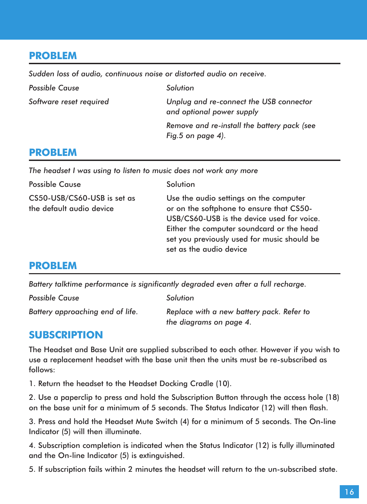## **PROBLEM**

*Sudden loss of audio, continuous noise or distorted audio on receive.*

| <b>Possible Cause</b>   | Solution                                                             |
|-------------------------|----------------------------------------------------------------------|
| Software reset required | Unplug and re-connect the USB connector<br>and optional power supply |
|                         | Remove and re-install the battery pack (see                          |
|                         | Fig.5 on page $4$ ).                                                 |

### **PROBLEM**

*The headset I was using to listen to music does not work any more*

| <b>Possible Cause</b>                                   | Solution                                                                                                                                                                                                                                                |
|---------------------------------------------------------|---------------------------------------------------------------------------------------------------------------------------------------------------------------------------------------------------------------------------------------------------------|
| CS50-USB/CS60-USB is set as<br>the default audio device | Use the audio settings on the computer<br>or on the softphone to ensure that CS50-<br>USB/CS60-USB is the device used for voice.<br>Either the computer soundcard or the head<br>set you previously used for music should be<br>set as the audio device |

### **PROBLEM**

*Battery talktime performance is significantly degraded even after a full recharge.*

| <b>Possible Cause</b>            | Solution                                                             |
|----------------------------------|----------------------------------------------------------------------|
| Battery approaching end of life. | Replace with a new battery pack. Refer to<br>the diagrams on page 4. |

### **SUBSCRIPTION**

The Headset and Base Unit are supplied subscribed to each other. However if you wish to use a replacement headset with the base unit then the units must be re-subscribed as follows:

1. Return the headset to the Headset Docking Cradle (10).

2. Use a paperclip to press and hold the Subscription Button through the access hole (18) on the base unit for a minimum of 5 seconds. The Status Indicator (12) will then flash.

3. Press and hold the Headset Mute Switch (4) for a minimum of 5 seconds. The On-line Indicator (5) will then illuminate.

4. Subscription completion is indicated when the Status Indicator (12) is fully illuminated and the On-line Indicator (5) is extinguished.

5. If subscription fails within 2 minutes the headset will return to the un-subscribed state.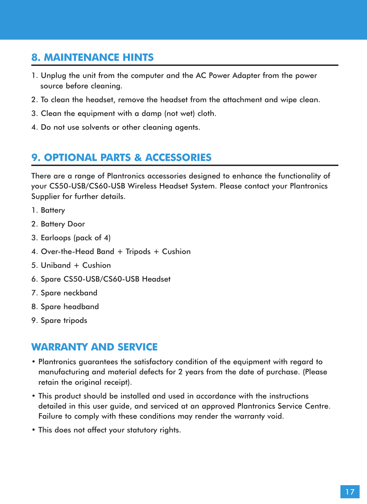## **8. MAINTENANCE HINTS**

- 1. Unplug the unit from the computer and the AC Power Adapter from the power source before cleaning.
- 2. To clean the headset, remove the headset from the attachment and wipe clean.
- 3. Clean the equipment with a damp (not wet) cloth.
- 4. Do not use solvents or other cleaning agents.

## **9. OPTIONAL PARTS & ACCESSORIES**

There are a range of Plantronics accessories designed to enhance the functionality of your CS50-USB/CS60-USB Wireless Headset System. Please contact your Plantronics Supplier for further details.

- 1. Battery
- 2. Battery Door
- 3. Earloops (pack of 4)
- 4. Over-the-Head Band + Tripods + Cushion
- 5. Uniband + Cushion
- 6. Spare CS50-USB/CS60-USB Headset
- 7. Spare neckband
- 8. Spare headband
- 9. Spare tripods

#### **WARRANTY AND SERVICE**

- Plantronics guarantees the satisfactory condition of the equipment with regard to manufacturing and material defects for 2 years from the date of purchase. (Please retain the original receipt).
- This product should be installed and used in accordance with the instructions detailed in this user guide, and serviced at an approved Plantronics Service Centre. Failure to comply with these conditions may render the warranty void.
- This does not affect your statutory rights.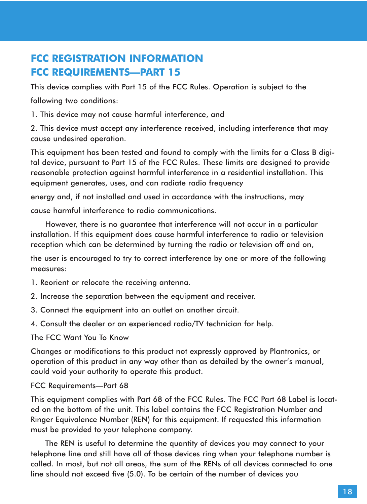## **FCC REGISTRATION INFORMATION FCC REQUIREMENTS—PART 15**

This device complies with Part 15 of the FCC Rules. Operation is subject to the following two conditions:

1. This device may not cause harmful interference, and

2. This device must accept any interference received, including interference that may cause undesired operation.

This equipment has been tested and found to comply with the limits for a Class B digital device, pursuant to Part 15 of the FCC Rules. These limits are designed to provide reasonable protection against harmful interference in a residential installation. This equipment generates, uses, and can radiate radio frequency

energy and, if not installed and used in accordance with the instructions, may

cause harmful interference to radio communications.

However, there is no guarantee that interference will not occur in a particular installation. If this equipment does cause harmful interference to radio or television reception which can be determined by turning the radio or television off and on,

the user is encouraged to try to correct interference by one or more of the following measures:

1. Reorient or relocate the receiving antenna.

- 2. Increase the separation between the equipment and receiver.
- 3. Connect the equipment into an outlet on another circuit.
- 4. Consult the dealer or an experienced radio/TV technician for help.

The FCC Want You To Know

Changes or modifications to this product not expressly approved by Plantronics, or operation of this product in any way other than as detailed by the owner's manual, could void your authority to operate this product.

#### FCC Requirements—Part 68

This equipment complies with Part 68 of the FCC Rules. The FCC Part 68 Label is located on the bottom of the unit. This label contains the FCC Registration Number and Ringer Equivalence Number (REN) for this equipment. If requested this information must be provided to your telephone company.

The REN is useful to determine the quantity of devices you may connect to your telephone line and still have all of those devices ring when your telephone number is called. In most, but not all areas, the sum of the RENs of all devices connected to one line should not exceed five (5.0). To be certain of the number of devices you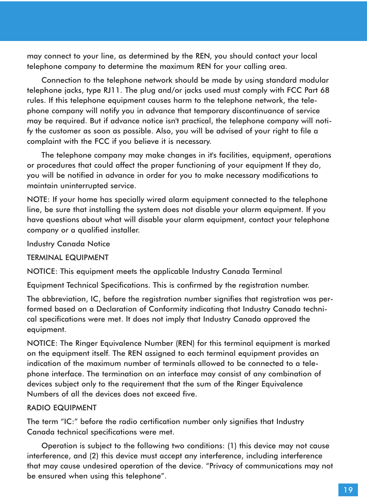may connect to your line, as determined by the REN, you should contact your local telephone company to determine the maximum REN for your calling area.

Connection to the telephone network should be made by using standard modular telephone jacks, type RJ11. The plug and/or jacks used must comply with FCC Part 68 rules. If this telephone equipment causes harm to the telephone network, the telephone company will notify you in advance that temporary discontinuance of service may be required. But if advance notice isn't practical, the telephone company will notify the customer as soon as possible. Also, you will be advised of your right to file a complaint with the FCC if you believe it is necessary.

The telephone company may make changes in it's facilities, equipment, operations or procedures that could affect the proper functioning of your equipment If they do, you will be notified in advance in order for you to make necessary modifications to maintain uninterrupted service.

NOTE: If your home has specially wired alarm equipment connected to the telephone line, be sure that installing the system does not disable your alarm equipment. If you have questions about what will disable your alarm equipment, contact your telephone company or a qualified installer.

Industry Canada Notice

TERMINAL EQUIPMENT

NOTICE: This equipment meets the applicable Industry Canada Terminal

Equipment Technical Specifications. This is confirmed by the registration number.

The abbreviation, IC, before the registration number signifies that registration was performed based on a Declaration of Conformity indicating that Industry Canada technical specifications were met. It does not imply that Industry Canada approved the equipment.

NOTICE: The Ringer Equivalence Number (REN) for this terminal equipment is marked on the equipment itself. The REN assigned to each terminal equipment provides an indication of the maximum number of terminals allowed to be connected to a telephone interface. The termination on an interface may consist of any combination of devices subject only to the requirement that the sum of the Ringer Equivalence Numbers of all the devices does not exceed five.

#### RADIO EQUIPMENT

The term "IC:" before the radio certification number only signifies that Industry Canada technical specifications were met.

Operation is subject to the following two conditions: (1) this device may not cause interference, and (2) this device must accept any interference, including interference that may cause undesired operation of the device. "Privacy of communications may not be ensured when using this telephone".